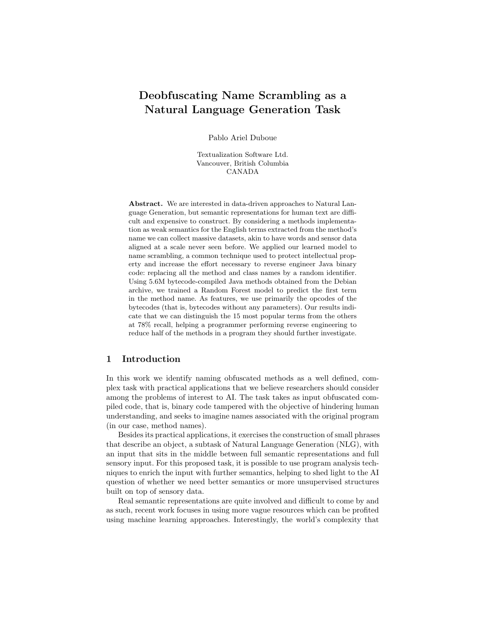# Deobfuscating Name Scrambling as a Natural Language Generation Task

Pablo Ariel Duboue

Textualization Software Ltd. Vancouver, British Columbia CANADA

Abstract. We are interested in data-driven approaches to Natural Language Generation, but semantic representations for human text are difficult and expensive to construct. By considering a methods implementation as weak semantics for the English terms extracted from the method's name we can collect massive datasets, akin to have words and sensor data aligned at a scale never seen before. We applied our learned model to name scrambling, a common technique used to protect intellectual property and increase the effort necessary to reverse engineer Java binary code: replacing all the method and class names by a random identifier. Using 5.6M bytecode-compiled Java methods obtained from the Debian archive, we trained a Random Forest model to predict the first term in the method name. As features, we use primarily the opcodes of the bytecodes (that is, bytecodes without any parameters). Our results indicate that we can distinguish the 15 most popular terms from the others at 78% recall, helping a programmer performing reverse engineering to reduce half of the methods in a program they should further investigate.

### 1 Introduction

In this work we identify naming obfuscated methods as a well defined, complex task with practical applications that we believe researchers should consider among the problems of interest to AI. The task takes as input obfuscated compiled code, that is, binary code tampered with the objective of hindering human understanding, and seeks to imagine names associated with the original program (in our case, method names).

Besides its practical applications, it exercises the construction of small phrases that describe an object, a subtask of Natural Language Generation (NLG), with an input that sits in the middle between full semantic representations and full sensory input. For this proposed task, it is possible to use program analysis techniques to enrich the input with further semantics, helping to shed light to the AI question of whether we need better semantics or more unsupervised structures built on top of sensory data.

Real semantic representations are quite involved and difficult to come by and as such, recent work focuses in using more vague resources which can be profited using machine learning approaches. Interestingly, the world's complexity that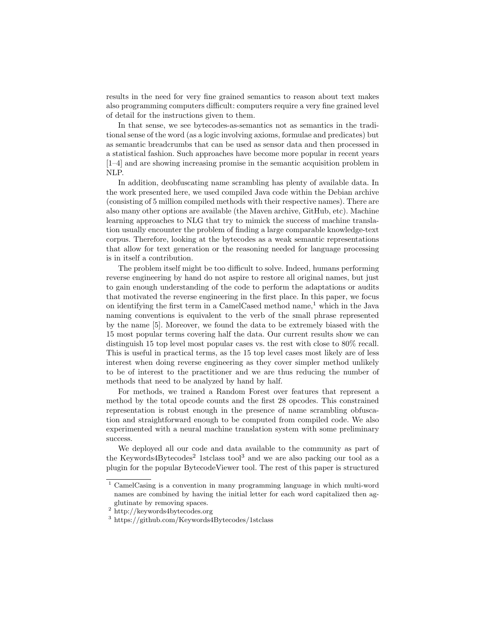results in the need for very fine grained semantics to reason about text makes also programming computers difficult: computers require a very fine grained level of detail for the instructions given to them.

In that sense, we see bytecodes-as-semantics not as semantics in the traditional sense of the word (as a logic involving axioms, formulae and predicates) but as semantic breadcrumbs that can be used as sensor data and then processed in a statistical fashion. Such approaches have become more popular in recent years [1–4] and are showing increasing promise in the semantic acquisition problem in NLP.

In addition, deobfuscating name scrambling has plenty of available data. In the work presented here, we used compiled Java code within the Debian archive (consisting of 5 million compiled methods with their respective names). There are also many other options are available (the Maven archive, GitHub, etc). Machine learning approaches to NLG that try to mimick the success of machine translation usually encounter the problem of finding a large comparable knowledge-text corpus. Therefore, looking at the bytecodes as a weak semantic representations that allow for text generation or the reasoning needed for language processing is in itself a contribution.

The problem itself might be too difficult to solve. Indeed, humans performing reverse engineering by hand do not aspire to restore all original names, but just to gain enough understanding of the code to perform the adaptations or audits that motivated the reverse engineering in the first place. In this paper, we focus on identifying the first term in a CamelCased method name, $<sup>1</sup>$  which in the Java</sup> naming conventions is equivalent to the verb of the small phrase represented by the name [5]. Moreover, we found the data to be extremely biased with the 15 most popular terms covering half the data. Our current results show we can distinguish 15 top level most popular cases vs. the rest with close to 80% recall. This is useful in practical terms, as the 15 top level cases most likely are of less interest when doing reverse engineering as they cover simpler method unlikely to be of interest to the practitioner and we are thus reducing the number of methods that need to be analyzed by hand by half.

For methods, we trained a Random Forest over features that represent a method by the total opcode counts and the first 28 opcodes. This constrained representation is robust enough in the presence of name scrambling obfuscation and straightforward enough to be computed from compiled code. We also experimented with a neural machine translation system with some preliminary success.

We deployed all our code and data available to the community as part of the Keywords4Bytecodes<sup>2</sup> 1stclass tool<sup>3</sup> and we are also packing our tool as a plugin for the popular BytecodeViewer tool. The rest of this paper is structured

<sup>1</sup> CamelCasing is a convention in many programming language in which multi-word names are combined by having the initial letter for each word capitalized then agglutinate by removing spaces.

<sup>&</sup>lt;sup>2</sup> http://keywords4bytecodes.org

<sup>3</sup> https://github.com/Keywords4Bytecodes/1stclass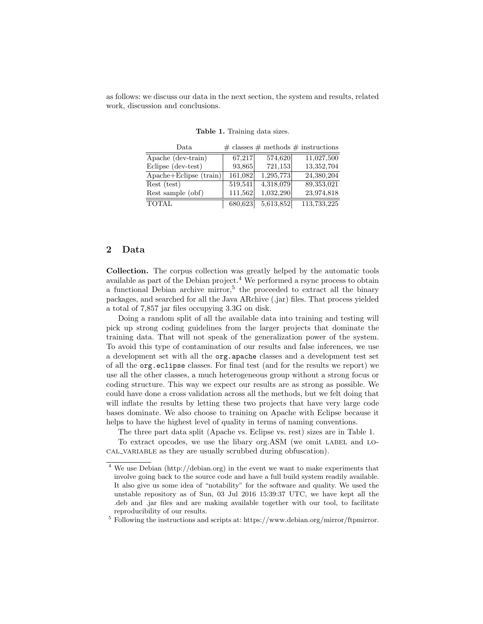as follows: we discuss our data in the next section, the system and results, related work, discussion and conclusions.

| Data                                          |         |           | $\#$ classes $\#$ methods $\#$ instructions |
|-----------------------------------------------|---------|-----------|---------------------------------------------|
| Apache (dev-train)                            | 67,217  | 574,620   | 11,027,500                                  |
| Eclipse (dev-test)                            | 93,865  | 721,153   | 13,352,704                                  |
| $A$ pache+Eclipse $(\overline{\text{train}})$ | 161,082 | 1,295,773 | 24,380,204                                  |
| Rest (test)                                   | 519,541 | 4,318,079 | 89,353,021                                  |
| Rest sample (obf)                             | 111,562 | 1,032,290 | 23,974,818                                  |
| <b>TOTAL</b>                                  | 680,623 | 5,613,852 | 113,733,225                                 |

Table 1. Training data sizes.

### 2 Data

Collection. The corpus collection was greatly helped by the automatic tools available as part of the Debian project.<sup>4</sup> We performed a rsync process to obtain a functional Debian archive mirror,<sup>5</sup> the proceeded to extract all the binary packages, and searched for all the Java ARchive (.jar) files. That process yielded a total of 7,857 jar files occupying 3.3G on disk.

Doing a random split of all the available data into training and testing will pick up strong coding guidelines from the larger projects that dominate the training data. That will not speak of the generalization power of the system. To avoid this type of contamination of our results and false inferences, we use a development set with all the org.apache classes and a development test set of all the org.eclipse classes. For final test (and for the results we report) we use all the other classes, a much heterogeneous group without a strong focus or coding structure. This way we expect our results are as strong as possible. We could have done a cross validation across all the methods, but we felt doing that will inflate the results by letting these two projects that have very large code bases dominate. We also choose to training on Apache with Eclipse because it helps to have the highest level of quality in terms of naming conventions.

The three part data split (Apache vs. Eclipse vs. rest) sizes are in Table 1.

To extract opcodes, we use the libary org.ASM (we omit LABEL and LO-CAL VARIABLE as they are usually scrubbed during obfuscation).

<sup>4</sup> We use Debian (http://debian.org) in the event we want to make experiments that involve going back to the source code and have a full build system readily available. It also give us some idea of "notability" for the software and quality. We used the unstable repository as of Sun, 03 Jul 2016 15:39:37 UTC, we have kept all the .deb and .jar files and are making available together with our tool, to facilitate reproducibility of our results.

<sup>5</sup> Following the instructions and scripts at: https://www.debian.org/mirror/ftpmirror.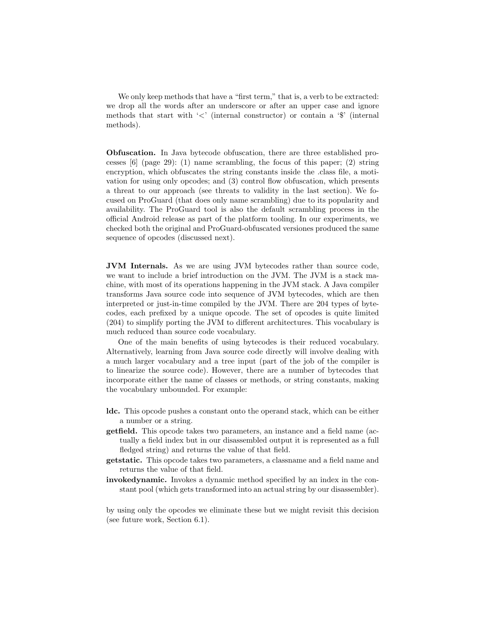We only keep methods that have a "first term," that is, a verb to be extracted: we drop all the words after an underscore or after an upper case and ignore methods that start with '<' (internal constructor) or contain a '\$' (internal methods).

Obfuscation. In Java bytecode obfuscation, there are three established processes  $[6]$  (page 29): (1) name scrambling, the focus of this paper; (2) string encryption, which obfuscates the string constants inside the .class file, a motivation for using only opcodes; and (3) control flow obfuscation, which presents a threat to our approach (see threats to validity in the last section). We focused on ProGuard (that does only name scrambling) due to its popularity and availability. The ProGuard tool is also the default scrambling process in the official Android release as part of the platform tooling. In our experiments, we checked both the original and ProGuard-obfuscated versiones produced the same sequence of opcodes (discussed next).

JVM Internals. As we are using JVM bytecodes rather than source code, we want to include a brief introduction on the JVM. The JVM is a stack machine, with most of its operations happening in the JVM stack. A Java compiler transforms Java source code into sequence of JVM bytecodes, which are then interpreted or just-in-time compiled by the JVM. There are 204 types of bytecodes, each prefixed by a unique opcode. The set of opcodes is quite limited (204) to simplify porting the JVM to different architectures. This vocabulary is much reduced than source code vocabulary.

One of the main benefits of using bytecodes is their reduced vocabulary. Alternatively, learning from Java source code directly will involve dealing with a much larger vocabulary and a tree input (part of the job of the compiler is to linearize the source code). However, there are a number of bytecodes that incorporate either the name of classes or methods, or string constants, making the vocabulary unbounded. For example:

- ldc. This opcode pushes a constant onto the operand stack, which can be either a number or a string.
- getfield. This opcode takes two parameters, an instance and a field name (actually a field index but in our disassembled output it is represented as a full fledged string) and returns the value of that field.
- getstatic. This opcode takes two parameters, a classname and a field name and returns the value of that field.
- invokedynamic. Invokes a dynamic method specified by an index in the constant pool (which gets transformed into an actual string by our disassembler).

by using only the opcodes we eliminate these but we might revisit this decision (see future work, Section 6.1).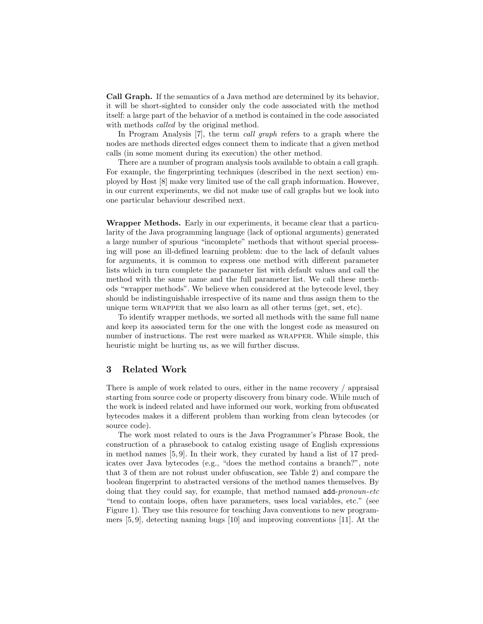Call Graph. If the semantics of a Java method are determined by its behavior, it will be short-sighted to consider only the code associated with the method itself: a large part of the behavior of a method is contained in the code associated with methods *called* by the original method.

In Program Analysis [7], the term call graph refers to a graph where the nodes are methods directed edges connect them to indicate that a given method calls (in some moment during its execution) the other method.

There are a number of program analysis tools available to obtain a call graph. For example, the fingerprinting techniques (described in the next section) employed by Høst [8] make very limited use of the call graph information. However, in our current experiments, we did not make use of call graphs but we look into one particular behaviour described next.

Wrapper Methods. Early in our experiments, it became clear that a particularity of the Java programming language (lack of optional arguments) generated a large number of spurious "incomplete" methods that without special processing will pose an ill-defined learning problem: due to the lack of default values for arguments, it is common to express one method with different parameter lists which in turn complete the parameter list with default values and call the method with the same name and the full parameter list. We call these methods "wrapper methods". We believe when considered at the bytecode level, they should be indistinguishable irrespective of its name and thus assign them to the unique term WRAPPER that we also learn as all other terms (get, set, etc).

To identify wrapper methods, we sorted all methods with the same full name and keep its associated term for the one with the longest code as measured on number of instructions. The rest were marked as WRAPPER. While simple, this heuristic might be hurting us, as we will further discuss.

### 3 Related Work

There is ample of work related to ours, either in the name recovery / appraisal starting from source code or property discovery from binary code. While much of the work is indeed related and have informed our work, working from obfuscated bytecodes makes it a different problem than working from clean bytecodes (or source code).

The work most related to ours is the Java Programmer's Phrase Book, the construction of a phrasebook to catalog existing usage of English expressions in method names [5, 9]. In their work, they curated by hand a list of 17 predicates over Java bytecodes (e.g., "does the method contains a branch?", note that 3 of them are not robust under obfuscation, see Table 2) and compare the boolean fingerprint to abstracted versions of the method names themselves. By doing that they could say, for example, that method namaed add-pronoun-etc "tend to contain loops, often have parameters, uses local variables, etc." (see Figure 1). They use this resource for teaching Java conventions to new programmers [5, 9], detecting naming bugs [10] and improving conventions [11]. At the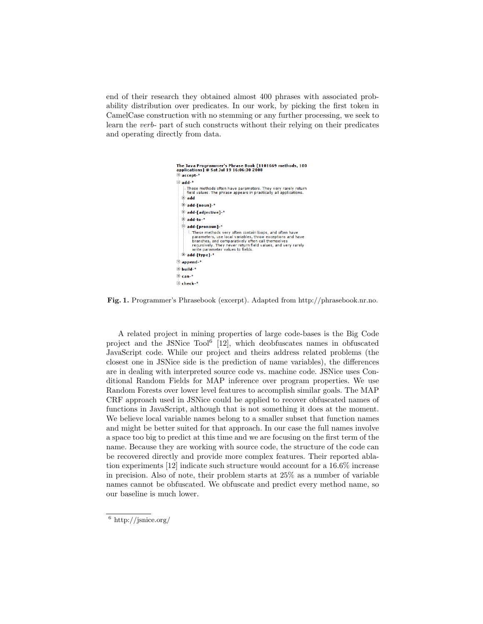end of their research they obtained almost 400 phrases with associated probability distribution over predicates. In our work, by picking the first token in CamelCase construction with no stemming or any further processing, we seek to learn the verb- part of such constructs without their relying on their predicates and operating directly from data.



Fig. 1. Programmer's Phrasebook (excerpt). Adapted from http://phrasebook.nr.no.

A related project in mining properties of large code-bases is the Big Code project and the JSNice Tool<sup>6</sup> [12], which deobfuscates names in obfuscated JavaScript code. While our project and theirs address related problems (the closest one in JSNice side is the prediction of name variables), the differences are in dealing with interpreted source code vs. machine code. JSNice uses Conditional Random Fields for MAP inference over program properties. We use Random Forests over lower level features to accomplish similar goals. The MAP CRF approach used in JSNice could be applied to recover obfuscated names of functions in JavaScript, although that is not something it does at the moment. We believe local variable names belong to a smaller subset that function names and might be better suited for that approach. In our case the full names involve a space too big to predict at this time and we are focusing on the first term of the name. Because they are working with source code, the structure of the code can be recovered directly and provide more complex features. Their reported ablation experiments [12] indicate such structure would account for a 16.6% increase in precision. Also of note, their problem starts at 25% as a number of variable names cannot be obfuscated. We obfuscate and predict every method name, so our baseline is much lower.

 $\frac{6}{6}$  http://jsnice.org/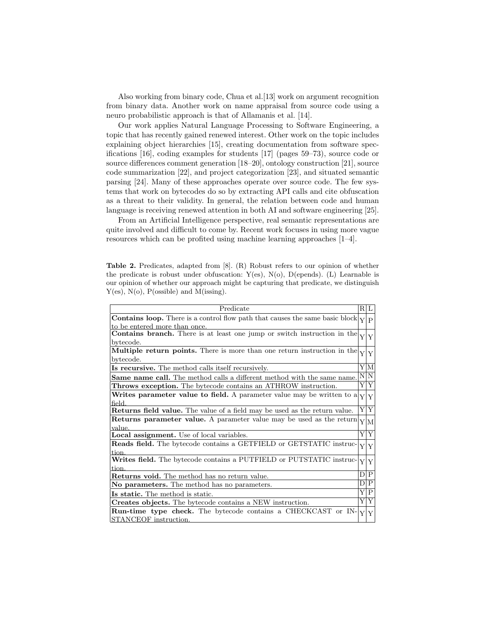Also working from binary code, Chua et al.[13] work on argument recognition from binary data. Another work on name appraisal from source code using a neuro probabilistic approach is that of Allamanis et al. [14].

Our work applies Natural Language Processing to Software Engineering, a topic that has recently gained renewed interest. Other work on the topic includes explaining object hierarchies [15], creating documentation from software specifications [16], coding examples for students [17] (pages 59–73), source code or source differences comment generation [18–20], ontology construction [21], source code summarization [22], and project categorization [23], and situated semantic parsing [24]. Many of these approaches operate over source code. The few systems that work on bytecodes do so by extracting API calls and cite obfuscation as a threat to their validity. In general, the relation between code and human language is receiving renewed attention in both AI and software engineering [25].

From an Artificial Intelligence perspective, real semantic representations are quite involved and difficult to come by. Recent work focuses in using more vague resources which can be profited using machine learning approaches [1–4].

Table 2. Predicates, adapted from [8]. (R) Robust refers to our opinion of whether the predicate is robust under obfuscation:  $Y(es)$ ,  $N(o)$ ,  $D(epends)$ . (L) Learnable is our opinion of whether our approach might be capturing that predicate, we distinguish  $Y(es)$ ,  $N(o)$ ,  $P(osible)$  and  $M(ising)$ .

| Predicate                                                                                                            |  | R L                                |  |  |
|----------------------------------------------------------------------------------------------------------------------|--|------------------------------------|--|--|
| <b>Contains loop.</b> There is a control flow path that causes the same basic block<br>to be entered more than once. |  |                                    |  |  |
| Contains branch. There is at least one jump or switch instruction in the                                             |  |                                    |  |  |
| bytecode.                                                                                                            |  |                                    |  |  |
| Multiple return points. There is more than one return instruction in the<br>bytecode.                                |  |                                    |  |  |
| Is recursive. The method calls itself recursively.                                                                   |  |                                    |  |  |
| <b>Same name call.</b> The method calls a different method with the same name.                                       |  | N N                                |  |  |
| <b>Throws exception.</b> The bytecode contains an ATHROW instruction.                                                |  | Y Y                                |  |  |
| Writes parameter value to field. A parameter value may be written to a                                               |  |                                    |  |  |
| field.<br>Returns field value. The value of a field may be used as the return value.                                 |  | $\overline{Y} \overline{Y} $       |  |  |
| <b>Returns parameter value.</b> A parameter value may be used as the return                                          |  |                                    |  |  |
| value.                                                                                                               |  |                                    |  |  |
| Local assignment. Use of local variables.                                                                            |  | $\overline{\mathrm{Y} \mathrm{Y}}$ |  |  |
| Reads field. The bytecode contains a GETFIELD or GETSTATIC instruc-<br>ltion.                                        |  |                                    |  |  |
| Writes field. The bytecode contains a PUTFIELD or PUTSTATIC instruc-                                                 |  |                                    |  |  |
| tion                                                                                                                 |  | $\mathbf{P}$<br>DI                 |  |  |
| <b>Returns void.</b> The method has no return value.                                                                 |  |                                    |  |  |
| No parameters. The method has no parameters.                                                                         |  |                                    |  |  |
| Is static. The method is static.                                                                                     |  |                                    |  |  |
| Creates objects. The bytecode contains a NEW instruction.                                                            |  |                                    |  |  |
| <b>Run-time type check.</b> The bytecode contains a CHECKCAST or IN-<br>STANCEOF instruction.                        |  | Y Y                                |  |  |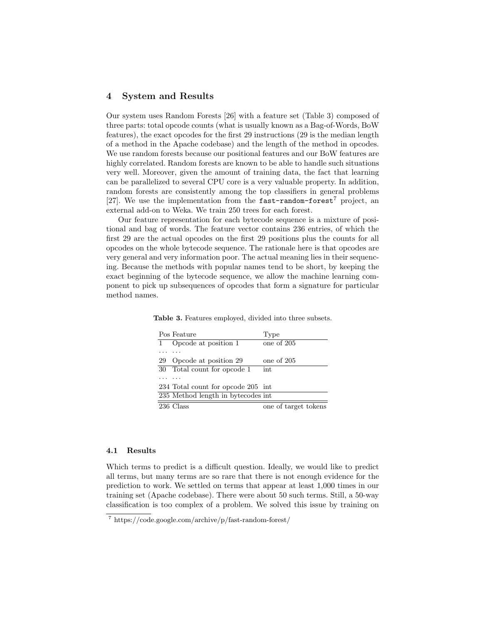### 4 System and Results

Our system uses Random Forests [26] with a feature set (Table 3) composed of three parts: total opcode counts (what is usually known as a Bag-of-Words, BoW features), the exact opcodes for the first 29 instructions (29 is the median length of a method in the Apache codebase) and the length of the method in opcodes. We use random forests because our positional features and our BoW features are highly correlated. Random forests are known to be able to handle such situations very well. Moreover, given the amount of training data, the fact that learning can be parallelized to several CPU core is a very valuable property. In addition, random forests are consistently among the top classifiers in general problems [27]. We use the implementation from the fast-random-forest<sup>7</sup> project, an external add-on to Weka. We train 250 trees for each forest.

Our feature representation for each bytecode sequence is a mixture of positional and bag of words. The feature vector contains 236 entries, of which the first 29 are the actual opcodes on the first 29 positions plus the counts for all opcodes on the whole bytecode sequence. The rationale here is that opcodes are very general and very information poor. The actual meaning lies in their sequencing. Because the methods with popular names tend to be short, by keeping the exact beginning of the bytecode sequence, we allow the machine learning component to pick up subsequences of opcodes that form a signature for particular method names.

| Pos Feature                        | Type                 |
|------------------------------------|----------------------|
| Opcode at position 1               | one of 205           |
|                                    |                      |
| Opcode at position 29<br>29        | one of 205           |
| Total count for opcode 1<br>30     | int                  |
|                                    |                      |
| 234 Total count for opcode 205 int |                      |
| 235 Method length in bytecodes int |                      |
| 236 Class                          | one of target tokens |

Table 3. Features employed, divided into three subsets.

#### 4.1 Results

Which terms to predict is a difficult question. Ideally, we would like to predict all terms, but many terms are so rare that there is not enough evidence for the prediction to work. We settled on terms that appear at least 1,000 times in our training set (Apache codebase). There were about 50 such terms. Still, a 50-way classification is too complex of a problem. We solved this issue by training on

<sup>7</sup> https://code.google.com/archive/p/fast-random-forest/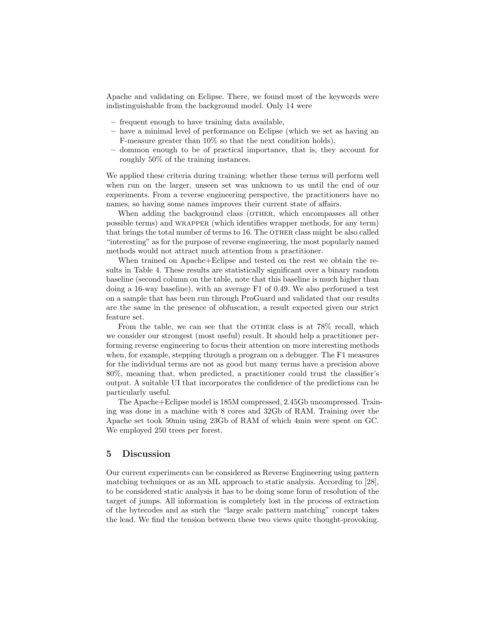Apache and validating on Eclipse. There, we found most of the keywords were indistinguishable from the background model. Only 14 were

- frequent enough to have training data available,
- have a minimal level of performance on Eclipse (which we set as having an F-measure greater than 10% so that the next condition holds),
- dommon enough to be of practical importance, that is, they account for roughly 50% of the training instances.

We applied these criteria during training: whether these terms will perform well when run on the larger, unseen set was unknown to us until the end of our experiments. From a reverse engineering perspective, the practitioners have no names, so having some names improves their current state of affairs.

When adding the background class (OTHER, which encompasses all other possible terms) and wrapper (which identifies wrapper methods, for any term) that brings the total number of terms to 16. The OTHER class might be also called "interesting" as for the purpose of reverse engineering, the most popularly named methods would not attract much attention from a practitioner.

When trained on Apache+Eclipse and tested on the rest we obtain the results in Table 4. These results are statistically significant over a binary random baseline (second column on the table, note that this baseline is much higher than doing a 16-way baseline), with an average F1 of 0.49. We also performed a test on a sample that has been run through ProGuard and validated that our results are the same in the presence of obfuscation, a result expected given our strict feature set.

From the table, we can see that the OTHER class is at 78% recall, which we consider our strongest (most useful) result. It should help a practitioner performing reverse engineering to focus their attention on more interesting methods when, for example, stepping through a program on a debugger. The F1 measures for the individual terms are not as good but many terms have a precision above 80%, meaning that, when predicted, a practitioner could trust the classifier's output. A suitable UI that incorporates the confidence of the predictions can be particularly useful.

The Apache+Eclipse model is 185M compressed, 2.45Gb uncompressed. Training was done in a machine with 8 cores and 32Gb of RAM. Training over the Apache set took 50min using 23Gb of RAM of which 4min were spent on GC. We employed 250 trees per forest.

## 5 Discussion

Our current experiments can be considered as Reverse Engineering using pattern matching techniques or as an ML approach to static analysis. According to [28], to be considered static analysis it has to be doing some form of resolution of the target of jumps. All information is completely lost in the process of extraction of the bytecodes and as such the "large scale pattern matching" concept takes the lead. We find the tension between these two views quite thought-provoking.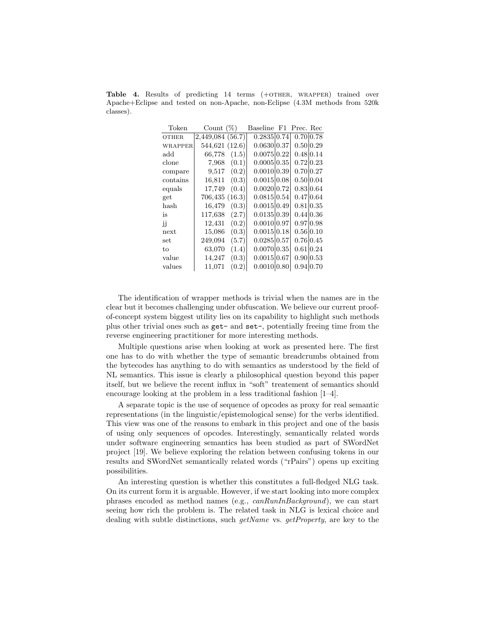Table 4. Results of predicting 14 terms (+OTHER, WRAPPER) trained over Apache+Eclipse and tested on non-Apache, non-Eclipse (4.3M methods from 520k classes).

| Token          | Count $(\%)$     | Baseline F1 | Prec. Rec |           |
|----------------|------------------|-------------|-----------|-----------|
| <b>OTHER</b>   | 2,449,084 (56.7) | 0.2835 0.74 | 0.70 0.78 |           |
| <b>WRAPPER</b> | 544,621 (12.6)   | 0.0630 0.37 | 0.50 0.29 |           |
| $\rm add$      | 66,778<br>(1.5)  | 0.0075 0.22 | 0.48 0.14 |           |
| clone          | (0.1)<br>7,968   | 0.0005 0.35 | 0.72 0.23 |           |
| compare        | (0.2)<br>9,517   | 0.001010.39 | 0.70 0.27 |           |
| contains       | (0.3)<br>16,811  | 0.0015 0.08 |           | 0.50 0.04 |
| equals         | 17,749<br>(0.4)  | 0.002010.72 | 0.83 0.64 |           |
| get            | 706,435 (16.3)   | 0.0815 0.54 | 0.47 0.64 |           |
| hash           | 16,479<br>(0.3)  | 0.0015 0.49 | 0.81 0.35 |           |
| is             | (2.7)<br>117,638 | 0.0135 0.39 | 0.44 0.36 |           |
| jj             | (0.2)<br>12,431  | 0.001010.97 | 0.97 0.98 |           |
| next           | 15,086<br>(0.3)  | 0.0015 0.18 | 0.56 0.10 |           |
| set            | 249,094<br>(5.7) | 0.0285 0.57 | 0.76 0.45 |           |
| to             | 63,070<br>(1.4)  | 0.007010.35 |           | 0.61 0.24 |
| value          | (0.3)<br>14,247  | 0.0015 0.67 | 0.90 0.53 |           |
| values         | 11,071<br>(0.2)  | 0.0010 0.80 | 0.94 0.70 |           |

The identification of wrapper methods is trivial when the names are in the clear but it becomes challenging under obfuscation. We believe our current proofof-concept system biggest utility lies on its capability to highlight such methods plus other trivial ones such as get- and set-, potentially freeing time from the reverse engineering practitioner for more interesting methods.

Multiple questions arise when looking at work as presented here. The first one has to do with whether the type of semantic breadcrumbs obtained from the bytecodes has anything to do with semantics as understood by the field of NL semantics. This issue is clearly a philosophical question beyond this paper itself, but we believe the recent influx in "soft" treatement of semantics should encourage looking at the problem in a less traditional fashion [1–4].

A separate topic is the use of sequence of opcodes as proxy for real semantic representations (in the linguistic/epistemological sense) for the verbs identified. This view was one of the reasons to embark in this project and one of the basis of using only sequences of opcodes. Interestingly, semantically related words under software engineering semantics has been studied as part of SWordNet project [19]. We believe exploring the relation between confusing tokens in our results and SWordNet semantically related words ("rPairs") opens up exciting possibilities.

An interesting question is whether this constitutes a full-fledged NLG task. On its current form it is arguable. However, if we start looking into more complex phrases encoded as method names (e.g., canRunInBackground), we can start seeing how rich the problem is. The related task in NLG is lexical choice and dealing with subtle distinctions, such *getName* vs. *getProperty*, are key to the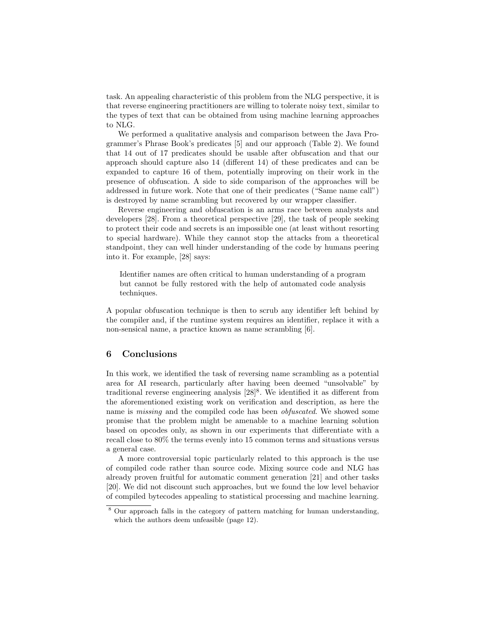task. An appealing characteristic of this problem from the NLG perspective, it is that reverse engineering practitioners are willing to tolerate noisy text, similar to the types of text that can be obtained from using machine learning approaches to NLG.

We performed a qualitative analysis and comparison between the Java Programmer's Phrase Book's predicates [5] and our approach (Table 2). We found that 14 out of 17 predicates should be usable after obfuscation and that our approach should capture also 14 (different 14) of these predicates and can be expanded to capture 16 of them, potentially improving on their work in the presence of obfuscation. A side to side comparison of the approaches will be addressed in future work. Note that one of their predicates ("Same name call") is destroyed by name scrambling but recovered by our wrapper classifier.

Reverse engineering and obfuscation is an arms race between analysts and developers [28]. From a theoretical perspective [29], the task of people seeking to protect their code and secrets is an impossible one (at least without resorting to special hardware). While they cannot stop the attacks from a theoretical standpoint, they can well hinder understanding of the code by humans peering into it. For example, [28] says:

Identifier names are often critical to human understanding of a program but cannot be fully restored with the help of automated code analysis techniques.

A popular obfuscation technique is then to scrub any identifier left behind by the compiler and, if the runtime system requires an identifier, replace it with a non-sensical name, a practice known as name scrambling [6].

### 6 Conclusions

In this work, we identified the task of reversing name scrambling as a potential area for AI research, particularly after having been deemed "unsolvable" by traditional reverse engineering analysis  $[28]^8$ . We identified it as different from the aforementioned existing work on verification and description, as here the name is *missing* and the compiled code has been *obfuscated*. We showed some promise that the problem might be amenable to a machine learning solution based on opcodes only, as shown in our experiments that differentiate with a recall close to 80% the terms evenly into 15 common terms and situations versus a general case.

A more controversial topic particularly related to this approach is the use of compiled code rather than source code. Mixing source code and NLG has already proven fruitful for automatic comment generation [21] and other tasks [20]. We did not discount such approaches, but we found the low level behavior of compiled bytecodes appealing to statistical processing and machine learning.

<sup>8</sup> Our approach falls in the category of pattern matching for human understanding, which the authors deem unfeasible (page 12).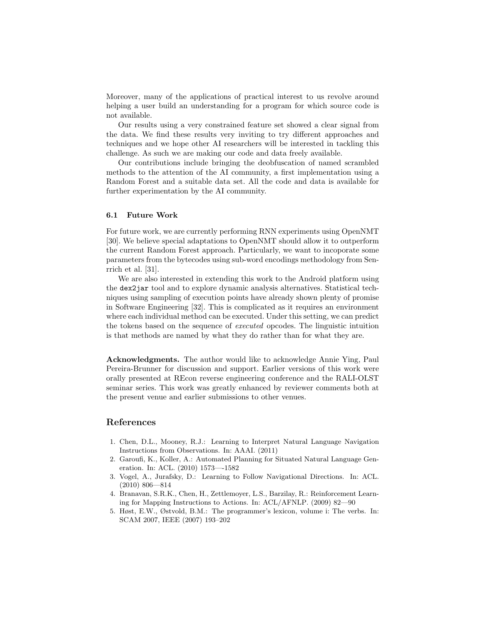Moreover, many of the applications of practical interest to us revolve around helping a user build an understanding for a program for which source code is not available.

Our results using a very constrained feature set showed a clear signal from the data. We find these results very inviting to try different approaches and techniques and we hope other AI researchers will be interested in tackling this challenge. As such we are making our code and data freely available.

Our contributions include bringing the deobfuscation of named scrambled methods to the attention of the AI community, a first implementation using a Random Forest and a suitable data set. All the code and data is available for further experimentation by the AI community.

### 6.1 Future Work

For future work, we are currently performing RNN experiments using OpenNMT [30]. We believe special adaptations to OpenNMT should allow it to outperform the current Random Forest approach. Particularly, we want to incoporate some parameters from the bytecodes using sub-word encodings methodology from Senrrich et al. [31].

We are also interested in extending this work to the Android platform using the dex2jar tool and to explore dynamic analysis alternatives. Statistical techniques using sampling of execution points have already shown plenty of promise in Software Engineering [32]. This is complicated as it requires an environment where each individual method can be executed. Under this setting, we can predict the tokens based on the sequence of executed opcodes. The linguistic intuition is that methods are named by what they do rather than for what they are.

Acknowledgments. The author would like to acknowledge Annie Ying, Paul Pereira-Brunner for discussion and support. Earlier versions of this work were orally presented at REcon reverse engineering conference and the RALI-OLST seminar series. This work was greatly enhanced by reviewer comments both at the present venue and earlier submissions to other venues.

### References

- 1. Chen, D.L., Mooney, R.J.: Learning to Interpret Natural Language Navigation Instructions from Observations. In: AAAI. (2011)
- 2. Garoufi, K., Koller, A.: Automated Planning for Situated Natural Language Generation. In: ACL. (2010) 1573—-1582
- 3. Vogel, A., Jurafsky, D.: Learning to Follow Navigational Directions. In: ACL. (2010) 806––814
- 4. Branavan, S.R.K., Chen, H., Zettlemoyer, L.S., Barzilay, R.: Reinforcement Learning for Mapping Instructions to Actions. In: ACL/AFNLP. (2009) 82––90
- 5. Høst, E.W., Østvold, B.M.: The programmer's lexicon, volume i: The verbs. In: SCAM 2007, IEEE (2007) 193–202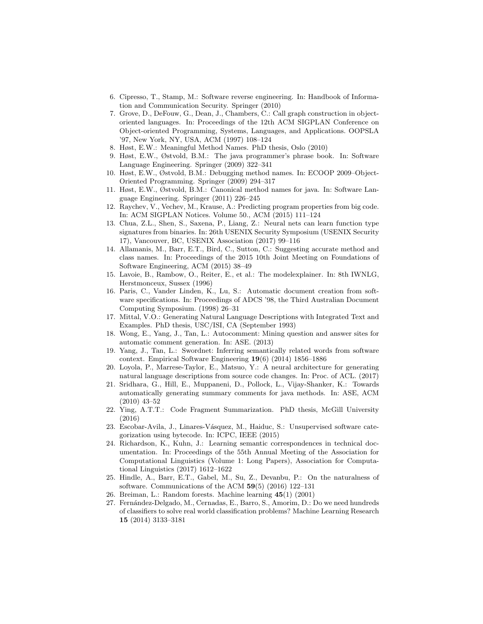- 6. Cipresso, T., Stamp, M.: Software reverse engineering. In: Handbook of Information and Communication Security. Springer (2010)
- 7. Grove, D., DeFouw, G., Dean, J., Chambers, C.: Call graph construction in objectoriented languages. In: Proceedings of the 12th ACM SIGPLAN Conference on Object-oriented Programming, Systems, Languages, and Applications. OOPSLA '97, New York, NY, USA, ACM (1997) 108–124
- 8. Høst, E.W.: Meaningful Method Names. PhD thesis, Oslo (2010)
- 9. Høst, E.W., Østvold, B.M.: The java programmer's phrase book. In: Software Language Engineering. Springer (2009) 322–341
- 10. Høst, E.W., Østvold, B.M.: Debugging method names. In: ECOOP 2009–Object-Oriented Programming. Springer (2009) 294–317
- 11. Høst, E.W., Østvold, B.M.: Canonical method names for java. In: Software Language Engineering. Springer (2011) 226–245
- 12. Raychev, V., Vechev, M., Krause, A.: Predicting program properties from big code. In: ACM SIGPLAN Notices. Volume 50., ACM (2015) 111–124
- 13. Chua, Z.L., Shen, S., Saxena, P., Liang, Z.: Neural nets can learn function type signatures from binaries. In: 26th USENIX Security Symposium (USENIX Security 17), Vancouver, BC, USENIX Association (2017) 99–116
- 14. Allamanis, M., Barr, E.T., Bird, C., Sutton, C.: Suggesting accurate method and class names. In: Proceedings of the 2015 10th Joint Meeting on Foundations of Software Engineering, ACM (2015) 38–49
- 15. Lavoie, B., Rambow, O., Reiter, E., et al.: The modelexplainer. In: 8th IWNLG, Herstmonceux, Sussex (1996)
- 16. Paris, C., Vander Linden, K., Lu, S.: Automatic document creation from software specifications. In: Proceedings of ADCS '98, the Third Australian Document Computing Symposium. (1998) 26–31
- 17. Mittal, V.O.: Generating Natural Language Descriptions with Integrated Text and Examples. PhD thesis, USC/ISI, CA (September 1993)
- 18. Wong, E., Yang, J., Tan, L.: Autocomment: Mining question and answer sites for automatic comment generation. In: ASE. (2013)
- 19. Yang, J., Tan, L.: Swordnet: Inferring semantically related words from software context. Empirical Software Engineering 19(6) (2014) 1856–1886
- 20. Loyola, P., Marrese-Taylor, E., Matsuo, Y.: A neural architecture for generating natural language descriptions from source code changes. In: Proc. of ACL. (2017)
- 21. Sridhara, G., Hill, E., Muppaneni, D., Pollock, L., Vijay-Shanker, K.: Towards automatically generating summary comments for java methods. In: ASE, ACM (2010) 43–52
- 22. Ying, A.T.T.: Code Fragment Summarization. PhD thesis, McGill University (2016)
- 23. Escobar-Avila, J., Linares-Vásquez, M., Haiduc, S.: Unsupervised software categorization using bytecode. In: ICPC, IEEE (2015)
- 24. Richardson, K., Kuhn, J.: Learning semantic correspondences in technical documentation. In: Proceedings of the 55th Annual Meeting of the Association for Computational Linguistics (Volume 1: Long Papers), Association for Computational Linguistics (2017) 1612–1622
- 25. Hindle, A., Barr, E.T., Gabel, M., Su, Z., Devanbu, P.: On the naturalness of software. Communications of the ACM 59(5) (2016) 122–131
- 26. Breiman, L.: Random forests. Machine learning 45(1) (2001)
- 27. Fernández-Delgado, M., Cernadas, E., Barro, S., Amorim, D.: Do we need hundreds of classifiers to solve real world classification problems? Machine Learning Research 15 (2014) 3133–3181